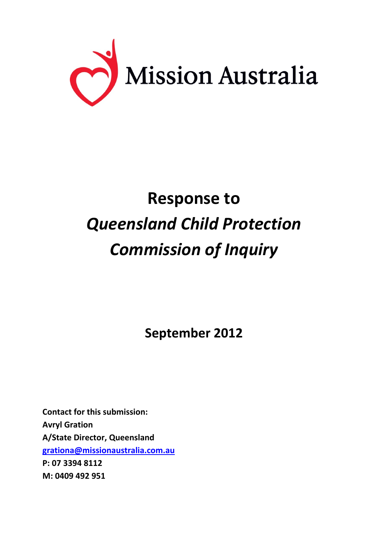

# **Response to**  *Queensland Child Protection Commission of Inquiry*

**September 2012** 

**Contact for this submission: Avryl Gration A/State Director, Queensland [grationa@missionaustralia.com.au](mailto:grationa@missionaustralia.com.au) P: 07 3394 8112 M: 0409 492 951**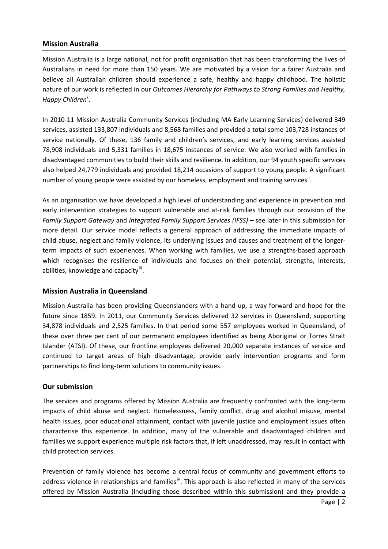### **Mission Australia**

Mission Australia is a large national, not for profit organisation that has been transforming the lives of Australians in need for more than 150 years. We are motivated by a vision for a fairer Australia and believe all Australian children should experience a safe, healthy and happy childhood. The holistic nature of our work is reflected in our *Outcomes Hierarchy for Pathways to Strong Families and Healthy, Happy Children[i](#page-15-0)* .

In 2010‐11 Mission Australia Community Services (including MA Early Learning Services) delivered 349 services, assisted 133,807 individuals and 8,568 families and provided a total some 103,728 instances of service nationally. Of these, 136 family and children's services, and early learning services assisted 78,908 individuals and 5,331 families in 18,675 instances of service. We also worked with families in disadvantaged communities to build their skills and resilience. In addition, our 94 youth specific services also helped 24,779 individuals and provided 18,214 occasions of support to young people. A significant number of young people were assisted by our homeless, employment and training services<sup>"</sup>.

As an organisation we have developed a high level of understanding and experience in prevention and early intervention strategies to support vulnerable and at-risk families through our provision of the *Family Support Gateway* and *Integrated Family Support Services (IFSS) –* see later in this submission for more detail. Our service model reflects a general approach of addressing the immediate impacts of child abuse, neglect and family violence, its underlying issues and causes and treatment of the longer‐ term impacts of such experiences. When working with families, we use a strengths‐based approach which recognises the resilience of individuals and focuses on their potential, strengths, interests, abilities, knowledge and capacity $^{\text{iii}}$  $^{\text{iii}}$  $^{\text{iii}}$ .

## **Mission Australia in Queensland**

Mission Australia has been providing Queenslanders with a hand up, a way forward and hope for the future since 1859. In 2011, our Community Services delivered 32 services in Queensland, supporting 34,878 individuals and 2,525 families. In that period some 557 employees worked in Queensland, of these over three per cent of our permanent employees identified as being Aboriginal or Torres Strait Islander (ATSI). Of these, our frontline employees delivered 20,000 separate instances of service and continued to target areas of high disadvantage, provide early intervention programs and form partnerships to find long‐term solutions to community issues.

#### **Our submission**

The services and programs offered by Mission Australia are frequently confronted with the long-term impacts of child abuse and neglect. Homelessness, family conflict, drug and alcohol misuse, mental health issues, poor educational attainment, contact with juvenile justice and employment issues often characterise this experience. In addition, many of the vulnerable and disadvantaged children and families we support experience multiple risk factors that, if left unaddressed, may result in contact with child protection services.

Prevention of family violence has become a central focus of community and government efforts to address violence in relationships and families<sup>[iv](#page-15-3)</sup>. This approach is also reflected in many of the services offered by Mission Australia (including those described within this submission) and they provide a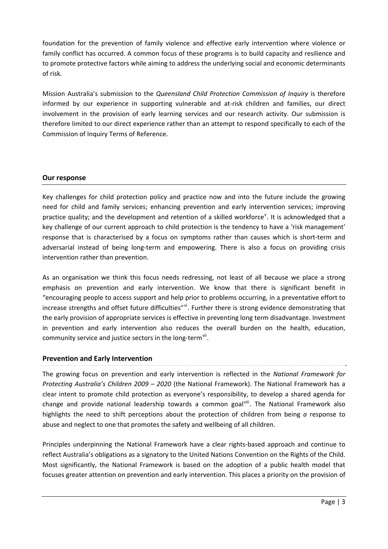foundation for the prevention of family violence and effective early intervention where violence or family conflict has occurred. A common focus of these programs is to build capacity and resilience and to promote protective factors while aiming to address the underlying social and economic determinants of risk.

Mission Australia's submission to the *Queensland Child Protection Commission of Inquiry* is therefore informed by our experience in supporting vulnerable and at-risk children and families, our direct involvement in the provision of early learning services and our research activity. Our submission is therefore limited to our direct experience rather than an attempt to respond specifically to each of the Commission of Inquiry Terms of Reference.

### **Our response**

Key challenges for child protection policy and practice now and into the future include the growing need for child and family services; enhancing prevention and early intervention services; improving practice quality; and the de[v](#page-15-4)elopment and retention of a skilled workforce<sup>v</sup>. It is acknowledged that a key challenge of our current approach to child protection is the tendency to have a 'risk management' response that is characterised by a focus on symptoms rather than causes which is short-term and adversarial instead of being long‐term and empowering. There is also a focus on providing crisis intervention rather than prevention.

As an organisation we think this focus needs redressing, not least of all because we place a strong emphasis on prevention and early intervention. We know that there is significant benefit in "encouraging people to access support and help prior to problems occurring, in a preventative effort to increase strengths and offset future difficulties"<sup>[vi](#page-15-5)</sup>. Further there is strong evidence demonstrating that the early provision of appropriate services is effective in preventing long term disadvantage. Investment in prevention and early intervention also reduces the overall burden on the health, education, community service and justice sectors in the long-term<sup>[vii](#page-15-6)</sup>.

## **Prevention and Early Intervention**

The growing focus on prevention and early intervention is reflected in the *National Framework for Protecting Australia's Children 2009 – 2020* (the National Framework). The National Framework has a clear intent to promote child protection as everyone's responsibility, to develop a shared agenda for change and provide national leadership towards a common goal<sup>[viii](#page-15-7)</sup>. The National Framework also highlights the need to shift perceptions about the protection of children from being *a* response to abuse and neglect to one that promotes the safety and wellbeing of all children.

Principles underpinning the National Framework have a clear rights‐based approach and continue to reflect Australia's obligations as a signatory to the United Nations Convention on the Rights of the Child. Most significantly, the National Framework is based on the adoption of a public health model that focuses greater attention on prevention and early intervention. This places a priority on the provision of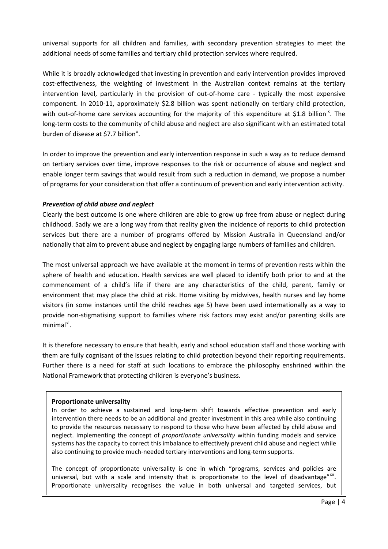universal supports for all children and families, with secondary prevention strategies to meet the additional needs of some families and tertiary child protection services where required.

While it is broadly acknowledged that investing in prevention and early intervention provides improved cost‐effectiveness, the weighting of investment in the Australian context remains at the tertiary intervention level, particularly in the provision of out-of-home care - typically the most expensive component. In 2010‐11, approximately \$2.8 billion was spent nationally on tertiary child protection, with out-of-home care services accounting for the majority of this expenditure at \$1.8 billion<sup>[ix](#page-15-8)</sup>. The long-term costs to the community of child abuse and neglect are also significant with an estimated total burden of disease at \$7.7 billion $^x$  $^x$ .

In order to improve the prevention and early intervention response in such a way as to reduce demand on tertiary services over time, improve responses to the risk or occurrence of abuse and neglect and enable longer term savings that would result from such a reduction in demand, we propose a number of programs for your consideration that offer a continuum of prevention and early intervention activity.

### *Prevention of child abuse and neglect*

Clearly the best outcome is one where children are able to grow up free from abuse or neglect during childhood. Sadly we are a long way from that reality given the incidence of reports to child protection services but there are a number of programs offered by Mission Australia in Queensland and/or nationally that aim to prevent abuse and neglect by engaging large numbers of families and children.

The most universal approach we have available at the moment in terms of prevention rests within the sphere of health and education. Health services are well placed to identify both prior to and at the commencement of a child's life if there are any characteristics of the child, parent, family or environment that may place the child at risk. Home visiting by midwives, health nurses and lay home visitors (in some instances until the child reaches age 5) have been used internationally as a way to provide non-stigmatising support to families where risk factors may exist and/or parenting skills are  $minimal^{xi}$  $minimal^{xi}$  $minimal^{xi}$ .

It is therefore necessary to ensure that health, early and school education staff and those working with them are fully cognisant of the issues relating to child protection beyond their reporting requirements. Further there is a need for staff at such locations to embrace the philosophy enshrined within the National Framework that protecting children is everyone's business.

#### **Proportionate universality**

In order to achieve a sustained and long-term shift towards effective prevention and early intervention there needs to be an additional and greater investment in this area while also continuing to provide the resources necessary to respond to those who have been affected by child abuse and neglect. Implementing the concept of *proportionate universality* within funding models and service systems has the capacity to correct this imbalance to effectively prevent child abuse and neglect while also continuing to provide much‐needed tertiary interventions and long‐term supports.

The concept of proportionate universality is one in which "programs, services and policies are universal, but with a scale and intensity that is proportionate to the level of disadvantage" $x$ <sup>ii</sup>. Proportionate universality recognises the value in both universal and targeted services, but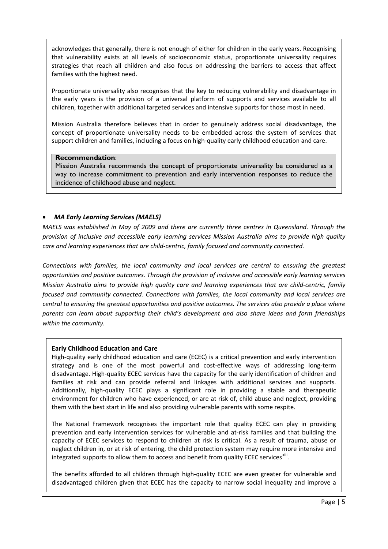acknowledges that generally, there is not enough of either for children in the early years. Recognising that vulnerability exists at all levels of socioeconomic status, proportionate universality requires strategies that reach all children and also focus on addressing the barriers to access that affect families with the highest need.

Proportionate universality also recognises that the key to reducing vulnerability and disadvantage in the early years is the provision of a universal platform of supports and services available to all children, together with additional targeted services and intensive supports for those most in need.

Mission Australia therefore believes that in order to genuinely address social disadvantage, the concept of proportionate universality needs to be embedded across the system of services that support children and families, including a focus on high‐quality early childhood education and care.

### **Recommendation**:

Mission Australia recommends the concept of proportionate universality be considered as a way to increase commitment to prevention and early intervention responses to reduce the incidence of childhood abuse and neglect.

## *MA Early Learning Services (MAELS)*

*MAELS was established in May of 2009 and there are currently three centres in Queensland. Through the provision of inclusive and accessible early learning services Mission Australia aims to provide high quality care and learning experiences that are child‐centric, family focused and community connected.* 

*Connections with families, the local community and local services are central to ensuring the greatest opportunities and positive outcomes. Through the provision of inclusive and accessible early learning services* Mission Australia aims to provide high quality care and learning experiences that are child-centric, family *focused and community connected. Connections with families, the local community and local services are central to ensuring the greatest opportunities and positive outcomes. The services also provide a place where parents can learn about supporting their child's development and also share ideas and form friendships within the community.*

## **Early Childhood Education and Care**

High-quality early childhood education and care (ECEC) is a critical prevention and early intervention strategy and is one of the most powerful and cost-effective ways of addressing long-term disadvantage. High‐quality ECEC services have the capacity for the early identification of children and families at risk and can provide referral and linkages with additional services and supports. Additionally, high‐quality ECEC plays a significant role in providing a stable and therapeutic environment for children who have experienced, or are at risk of, child abuse and neglect, providing them with the best start in life and also providing vulnerable parents with some respite.

The National Framework recognises the important role that quality ECEC can play in providing prevention and early intervention services for vulnerable and at-risk families and that building the capacity of ECEC services to respond to children at risk is critical. As a result of trauma, abuse or neglect children in, or at risk of entering, the child protection system may require more intensive and integrated supports to allow them to access and benefit from quality ECEC services<sup>[xiii](#page-15-12)</sup>.

The benefits afforded to all children through high-quality ECEC are even greater for vulnerable and disadvantaged children given that ECEC has the capacity to narrow social inequality and improve a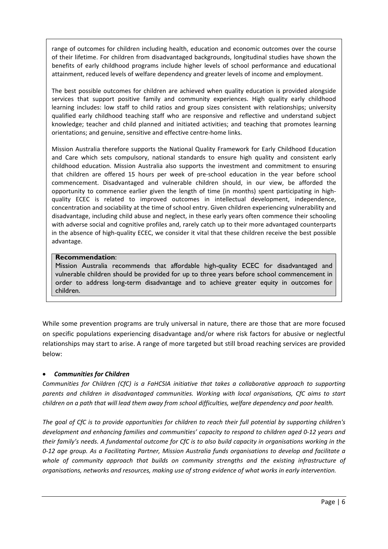range of outcomes for children including health, education and economic outcomes over the course of their lifetime. For children from disadvantaged backgrounds, longitudinal studies have shown the benefits of early childhood programs include higher levels of school performance and educational attainment, reduced levels of welfare dependency and greater levels of income and employment.

The best possible outcomes for children are achieved when quality education is provided alongside services that support positive family and community experiences. High quality early childhood learning includes: low staff to child ratios and group sizes consistent with relationships; university qualified early childhood teaching staff who are responsive and reflective and understand subject knowledge; teacher and child planned and initiated activities; and teaching that promotes learning orientations; and genuine, sensitive and effective centre‐home links.

Mission Australia therefore supports the National Quality Framework for Early Childhood Education and Care which sets compulsory, national standards to ensure high quality and consistent early childhood education. Mission Australia also supports the investment and commitment to ensuring that children are offered 15 hours per week of pre‐school education in the year before school commencement. Disadvantaged and vulnerable children should, in our view, be afforded the opportunity to commence earlier given the length of time (in months) spent participating in high‐ quality ECEC is related to improved outcomes in intellectual development, independence, concentration and sociability at the time of school entry. Given children experiencing vulnerability and disadvantage, including child abuse and neglect, in these early years often commence their schooling with adverse social and cognitive profiles and, rarely catch up to their more advantaged counterparts in the absence of high-quality ECEC, we consider it vital that these children receive the best possible advantage.

### **Recommendation**:

Mission Australia recommends that affordable high-quality ECEC for disadvantaged and vulnerable children should be provided for up to three years before school commencement in order to address long-term disadvantage and to achieve greater equity in outcomes for children.

While some prevention programs are truly universal in nature, there are those that are more focused on specific populations experiencing disadvantage and/or where risk factors for abusive or neglectful relationships may start to arise. A range of more targeted but still broad reaching services are provided below:

## *Communities for Children*

*Communities for Children (CfC) is a FaHCSIA initiative that takes a collaborative approach to supporting parents and children in disadvantaged communities. Working with local organisations, CfC aims to start* children on a path that will lead them away from school difficulties, welfare dependency and poor health.

The goal of CfC is to provide opportunities for children to reach their full potential by supporting children's *development and enhancing families and communities' capacity to respond to children aged 0‐12 years and* their family's needs. A fundamental outcome for CfC is to also build capacity in organisations working in the 0-12 age group. As a Facilitating Partner, Mission Australia funds organisations to develop and facilitate a *whole of community approach that builds on community strengths and the existing infrastructure of organisations, networks and resources, making use of strong evidence of what works in early intervention.*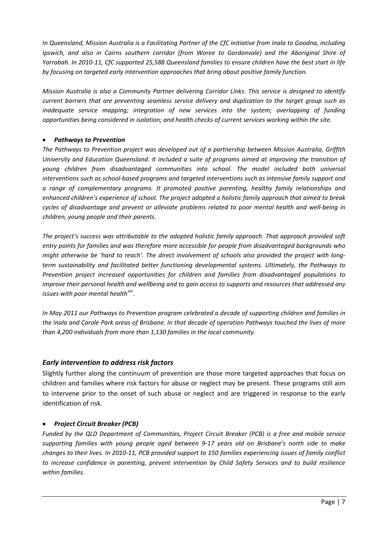In Queensland, Mission Australia is a Facilitating Partner of the CfC initiative from Inala to Goodna, including *Ipswich, and also in Cairns southern corridor (from Woree to Gordonvale) and the Aboriginal Shire of* Yarrabah. In 2010-11, CfC supported 25,588 Queensland families to ensure children have the best start in life *by focusing on targeted early intervention approaches that bring about positive family function.*

*Mission Australia is also a Community Partner delivering Corridor Links. This service is designed to identify current barriers that are preventing seamless service delivery and duplication to the target group such as inadequate service mapping; integration of new services into the system; overlapping of funding opportunities being considered in isolation; and health checks of current services working within the site.* 

## *Pathways to Prevention*

*The Pathways to Prevention project was developed out of a partnership between Mission Australia, Griffith University and Education Queensland. It included a suite of programs aimed at improving the transition of young children from disadvantaged communities into school. The model included both universal interventions such as school‐based programs and targeted interventions such as intensive family support and a range of complementary programs. It promoted positive parenting, healthy family relationships and enhanced children's experience of school. The project adopted a holistic family approach that aimed to break* cycles of disadvantage and prevent or alleviate problems related to poor mental health and well-being in *children, young people and their parents.* 

*The project's success was attributable to the adopted holistic family approach. That approach provided soft entry points for families and was therefore more accessible for people from disadvantaged backgrounds who* might otherwise be 'hard to reach'. The direct involvement of schools also provided the project with long*term sustainability and facilitated better functioning developmental systems. Ultimately, the Pathways to Prevention project increased opportunities for children and families from disadvantaged populations to* improve their personal health and wellbeing and to gain access to supports and resources that addressed any *issues with poor mental health[xiv](#page-15-13).*

*In May 2011 our Pathways to Prevention program celebrated a decade of supporting children and families in* the Inala and Carole Park areas of Brisbane. In that decade of operation Pathways touched the lives of more *than 4,200 individuals from more than 1,130 families in the local community.*

## *Early intervention to address risk factors*

Slightly further along the continuum of prevention are those more targeted approaches that focus on children and families where risk factors for abuse or neglect may be present. These programs still aim to intervene prior to the onset of such abuse or neglect and are triggered in response to the early identification of risk.

## *Project Circuit Breaker (PCB)*

*Funded by the QLD Department of Communities, Project Circuit Breaker (PCB) is a free and mobile service supporting families with young people aged between 9‐17 years old on Brisbane's north side to make* changes to their lives. In 2010-11, PCB provided support to 150 families experiencing issues of family conflict *to increase confidence in parenting, prevent intervention by Child Safety Services and to build resilience within families.*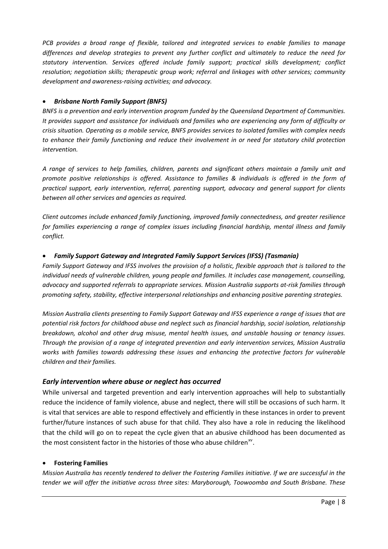*PCB provides a broad range of flexible, tailored and integrated services to enable families to manage differences and develop strategies to prevent any further conflict and ultimately to reduce the need for statutory intervention. Services offered include family support; practical skills development; conflict resolution; negotiation skills; therapeutic group work; referral and linkages with other services; community development and awareness‐raising activities; and advocacy.*

## *Brisbane North Family Support (BNFS)*

*BNFS is a prevention and early intervention program funded by the Queensland Department of Communities.* It provides support and assistance for individuals and families who are experiencing any form of difficulty or *crisis situation. Operating as a mobile service, BNFS provides services to isolated families with complex needs to enhance their family functioning and reduce their involvement in or need for statutory child protection intervention.*

*A range of services to help families, children, parents and significant others maintain a family unit and promote positive relationships is offered. Assistance to families & individuals is offered in the form of practical support, early intervention, referral, parenting support, advocacy and general support for clients between all other services and agencies as required.*

*Client outcomes include enhanced family functioning, improved family connectedness, and greater resilience for families experiencing a range of complex issues including financial hardship, mental illness and family conflict.*

### *Family Support Gateway and Integrated Family Support Services (IFSS) (Tasmania)*

Family Support Gateway and IFSS involves the provision of a holistic, flexible approach that is tailored to the *individual needs of vulnerable children, young people and families. It includes case management, counselling, advocacy and supported referrals to appropriate services. Mission Australia supports at‐risk families through promoting safety, stability, effective interpersonal relationships and enhancing positive parenting strategies.*

Mission Australia clients presenting to Family Support Gateway and IFSS experience a range of issues that are *potential risk factors for childhood abuse and neglect such as financial hardship, social isolation, relationship breakdown, alcohol and other drug misuse, mental health issues, and unstable housing or tenancy issues. Through the provision of a range of integrated prevention and early intervention services, Mission Australia works with families towards addressing these issues and enhancing the protective factors for vulnerable children and their families.* 

## *Early intervention where abuse or neglect has occurred*

While universal and targeted prevention and early intervention approaches will help to substantially reduce the incidence of family violence, abuse and neglect, there will still be occasions of such harm. It is vital that services are able to respond effectively and efficiently in these instances in order to prevent further/future instances of such abuse for that child. They also have a role in reducing the likelihood that the child will go on to repeat the cycle given that an abusive childhood has been documented as the most consistent factor in the histories of those who abuse children $\alpha$ .

#### **Fostering Families**

Mission Australia has recently tendered to deliver the Fostering Families initiative. If we are successful in the *tender we will offer the initiative across three sites: Maryborough, Toowoomba and South Brisbane. These*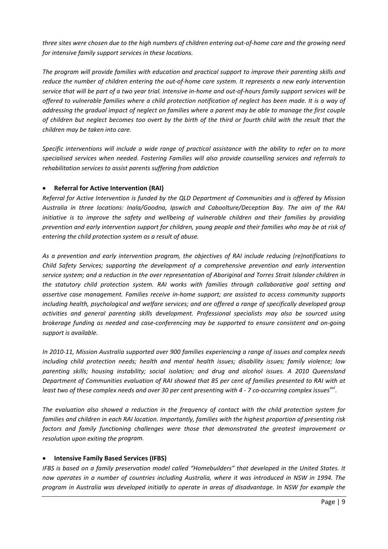three sites were chosen due to the high numbers of children entering out-of-home care and the growing need *for intensive family support services in these locations.*

*The program will provide families with education and practical support to improve their parenting skills and* reduce the number of children entering the out-of-home care system. It represents a new early intervention service that will be part of a two year trial. Intensive in-home and out-of-hours family support services will be offered to vulnerable families where a child protection notification of neglect has been made. It is a way of addressing the gradual impact of neglect on families where a parent may be able to manage the first couple of children but neglect becomes too overt by the birth of the third or fourth child with the result that the *children may be taken into care.*

Specific interventions will include a wide range of practical assistance with the ability to refer on to more *specialised services when needed. Fostering Families will also provide counselling services and referrals to rehabilitation services to assist parents suffering from addiction* 

### **Referral for Active Intervention (RAI)**

*Referral for Active Intervention is funded by the QLD Department of Communities and is offered by Mission Australia in three locations: Inala/Goodna, Ipswich and Caboolture/Deception Bay. The aim of the RAI initiative is to improve the safety and wellbeing of vulnerable children and their families by providing* prevention and early intervention support for children, young people and their families who may be at risk of *entering the child protection system as a result of abuse.*

*As a prevention and early intervention program, the objectives of RAI include reducing (re)notifications to Child Safety Services; supporting the development of a comprehensive prevention and early intervention* service system; and a reduction in the over representation of Aboriginal and Torres Strait Islander children in *the statutory child protection system. RAI works with families through collaborative goal setting and assertive case management. Families receive in‐home support; are assisted to access community supports including health, psychological and welfare services; and are offered a range of specifically developed group activities and general parenting skills development. Professional specialists may also be sourced using* brokerage funding as needed and case-conferencing may be supported to ensure consistent and on-going *support is available.*

In 2010-11, Mission Australia supported over 900 families experiencing a range of issues and complex needs *including child protection needs; health and mental health issues; disability issues; family violence; low parenting skills; housing instability; social isolation; and drug and alcohol issues. A 2010 Queensland* Department of Communities evaluation of RAI showed that 85 per cent of families presented to RAI with at least two of these complex needs and over 30 per cent presenting with 4 - 7 co-occurring complex issues<sup>[xvi](#page-15-15)</sup>.

*The evaluation also showed a reduction in the frequency of contact with the child protection system for families and children in each RAI location. Importantly, families with the highest proportion of presenting risk factors and family functioning challenges were those that demonstrated the greatest improvement or resolution upon exiting the program.*

#### **Intensive Family Based Services (IFBS)**

IFBS is based on a family preservation model called "Homebuilders" that developed in the United States. It now operates in a number of countries including Australia, where it was introduced in NSW in 1994. The *program in Australia was developed initially to operate in areas of disadvantage. In NSW for example the*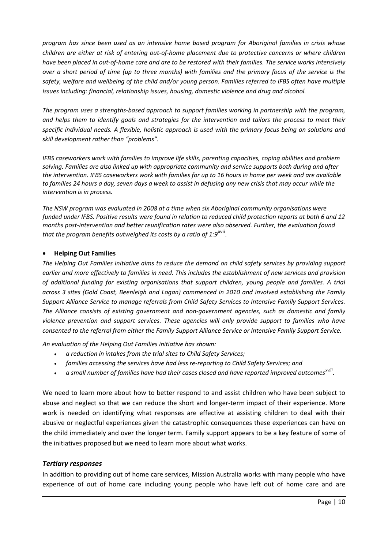*program has since been used as an intensive home based program for Aboriginal families in crisis whose* children are either at risk of entering out-of-home placement due to protective concerns or where children have been placed in out-of-home care and are to be restored with their families. The service works intensively over a short period of time (up to three months) with families and the primary focus of the service is the safety, welfare and wellbeing of the child and/or young person. Families referred to IFBS often have multiple *issues including: financial, relationship issues, housing, domestic violence and drug and alcohol.*

*The program uses a strengths‐based approach to support families working in partnership with the program,* and helps them to identify goals and strategies for the intervention and tailors the process to meet their specific individual needs. A flexible, holistic approach is used with the primary focus being on solutions and *skill development rather than "problems".*

*IFBS caseworkers work with families to improve life skills, parenting capacities, coping abilities and problem solving. Families are also linked up with appropriate community and service supports both during and after* the intervention. IFBS caseworkers work with families for up to 16 hours in home per week and are available to families 24 hours a day, seven days a week to assist in defusing any new crisis that may occur while the *intervention is in process.* 

*The NSW program was evaluated in 2008 at a time when six Aboriginal community organisations were* funded under IFBS. Positive results were found in relation to reduced child protection reports at both 6 and 12 *months post‐intervention and better reunification rates were also observed. Further, the evaluation found that the program benefits outweighed its costs by a ratio of 1:9*[xvii](#page-15-16)*.*

### **Helping Out Families**

The Helping Out Families initiative aims to reduce the demand on child safety services by providing support earlier and more effectively to families in need. This includes the establishment of new services and provision *of additional funding for existing organisations that support children, young people and families. A trial across 3 sites (Gold Coast, Beenleigh and Logan) commenced in 2010 and involved establishing the Family Support Alliance Service to manage referrals from Child Safety Services to Intensive Family Support Services. The Alliance consists of existing government and non‐government agencies, such as domestic and family violence prevention and support services. These agencies will only provide support to families who have consented to the referral from either the Family Support Alliance Service or Intensive Family Support Service.*

*An evaluation of the Helping Out Families initiative has shown:*

- *a reduction in intakes from the trial sites to Child Safety Services;*
- *families accessing the services have had less re‐reporting to Child Safety Services; and*
- *a small number of families have had their cases closed and have reported improved outcomes[xviii](#page-15-17).*

We need to learn more about how to better respond to and assist children who have been subject to abuse and neglect so that we can reduce the short and longer-term impact of their experience. More work is needed on identifying what responses are effective at assisting children to deal with their abusive or neglectful experiences given the catastrophic consequences these experiences can have on the child immediately and over the longer term. Family support appears to be a key feature of some of the initiatives proposed but we need to learn more about what works.

## *Tertiary responses*

In addition to providing out of home care services, Mission Australia works with many people who have experience of out of home care including young people who have left out of home care and are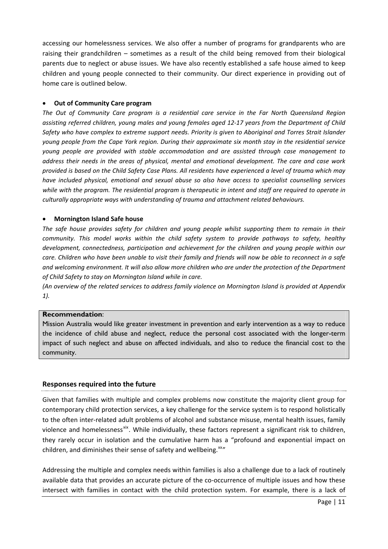accessing our homelessness services. We also offer a number of programs for grandparents who are raising their grandchildren – sometimes as a result of the child being removed from their biological parents due to neglect or abuse issues. We have also recently established a safe house aimed to keep children and young people connected to their community. Our direct experience in providing out of home care is outlined below.

#### **Out of Community Care program**

*The Out of Community Care program is a residential care service in the Far North Queensland Region* assisting referred children, young males and young females aged 12-17 years from the Department of Child Safety who have complex to extreme support needs. Priority is given to Aboriginal and Torres Strait Islander young people from the Cape York region. During their approximate six month stay in the residential service *young people are provided with stable accommodation and are assisted through case management to address their needs in the areas of physical, mental and emotional development. The care and case work* provided is based on the Child Safety Case Plans. All residents have experienced a level of trauma which may *have included physical, emotional and sexual abuse so also have access to specialist counselling services* while with the program. The residential program is therapeutic in intent and staff are required to operate in *culturally appropriate ways with understanding of trauma and attachment related behaviours.* 

### **Mornington Island Safe house**

*The safe house provides safety for children and young people whilst supporting them to remain in their community. This model works within the child safety system to provide pathways to safety, healthy development, connectedness, participation and achievement for the children and young people within our* care. Children who have been unable to visit their family and friends will now be able to reconnect in a safe and welcoming environment. It will also allow more children who are under the protection of the Department *of Child Safety to stay on Mornington Island while in care.*

(An overview of the related services to address family violence on Mornington Island is provided at Appendix *1).*

### **Recommendation**:

Mission Australia would like greater investment in prevention and early intervention as a way to reduce the incidence of child abuse and neglect, reduce the personal cost associated with the longer-term impact of such neglect and abuse on affected individuals, and also to reduce the financial cost to the community.

## **Responses required into the future**

Given that families with multiple and complex problems now constitute the majority client group for contemporary child protection services, a key challenge for the service system is to respond holistically to the often inter-related adult problems of alcohol and substance misuse, mental health issues, family violence and homelessness<sup>[xix](#page-15-18)</sup>. While individually, these factors represent a significant risk to children, they rarely occur in isolation and the cumulative harm has a "profound and exponential impact on children, and diminishes their sense of safety and wellbeing.<sup>[xx](#page-15-19)</sup>"

Addressing the multiple and complex needs within families is also a challenge due to a lack of routinely available data that provides an accurate picture of the co-occurrence of multiple issues and how these intersect with families in contact with the child protection system. For example, there is a lack of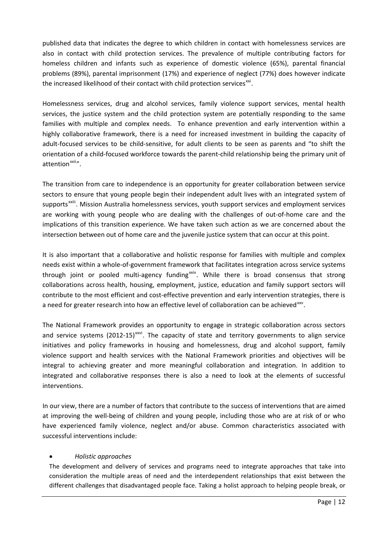published data that indicates the degree to which children in contact with homelessness services are also in contact with child protection services. The prevalence of multiple contributing factors for homeless children and infants such as experience of domestic violence (65%), parental financial problems (89%), parental imprisonment (17%) and experience of neglect (77%) does however indicate the increased likelihood of their contact with child protection services $^{xxi}$  $^{xxi}$  $^{xxi}$ .

Homelessness services, drug and alcohol services, family violence support services, mental health services, the justice system and the child protection system are potentially responding to the same families with multiple and complex needs. To enhance prevention and early intervention within a highly collaborative framework, there is a need for increased investment in building the capacity of adult‐focused services to be child‐sensitive, for adult clients to be seen as parents and "to shift the orientation of a child‐focused workforce towards the parent‐child relationship being the primary unit of attention<sup>[xxii](#page-15-21)</sup>".

The transition from care to independence is an opportunity for greater collaboration between service sectors to ensure that young people begin their independent adult lives with an integrated system of supports<sup>[xxiii](#page-15-22)</sup>. Mission Australia homelessness services, youth support services and employment services are working with young people who are dealing with the challenges of out-of-home care and the implications of this transition experience. We have taken such action as we are concerned about the intersection between out of home care and the juvenile justice system that can occur at this point.

It is also important that a collaborative and holistic response for families with multiple and complex needs exist within a whole‐of‐government framework that facilitates integration across service systems through joint or pooled multi-agency funding<sup>[xxiv](#page-15-23)</sup>. While there is broad consensus that strong collaborations across health, housing, employment, justice, education and family support sectors will contribute to the most efficient and cost-effective prevention and early intervention strategies, there is a need for greater research into how an effective level of collaboration can be achieved<sup>[xxv](#page-15-24)</sup>.

The National Framework provides an opportunity to engage in strategic collaboration across sectors and service systems (2012-15)<sup>[xxvi](#page-15-25)</sup>. The capacity of state and territory governments to align service initiatives and policy frameworks in housing and homelessness, drug and alcohol support, family violence support and health services with the National Framework priorities and objectives will be integral to achieving greater and more meaningful collaboration and integration. In addition to integrated and collaborative responses there is also a need to look at the elements of successful interventions.

In our view, there are a number of factors that contribute to the success of interventions that are aimed at improving the well‐being of children and young people, including those who are at risk of or who have experienced family violence, neglect and/or abuse. Common characteristics associated with successful interventions include:

## *Holistic approaches*

The development and delivery of services and programs need to integrate approaches that take into consideration the multiple areas of need and the interdependent relationships that exist between the different challenges that disadvantaged people face. Taking a holist approach to helping people break, or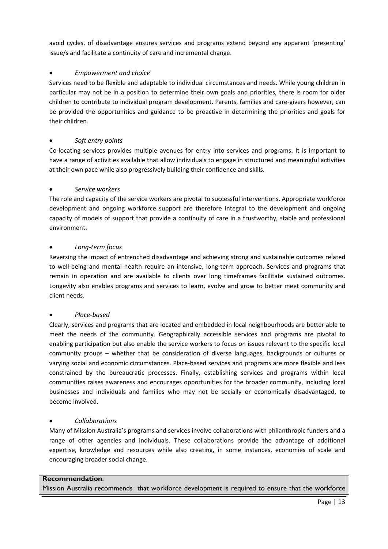avoid cycles, of disadvantage ensures services and programs extend beyond any apparent 'presenting' issue/s and facilitate a continuity of care and incremental change.

## *Empowerment and choice*

Services need to be flexible and adaptable to individual circumstances and needs. While young children in particular may not be in a position to determine their own goals and priorities, there is room for older children to contribute to individual program development. Parents, families and care-givers however, can be provided the opportunities and guidance to be proactive in determining the priorities and goals for their children.

## *Soft entry points*

Co-locating services provides multiple avenues for entry into services and programs. It is important to have a range of activities available that allow individuals to engage in structured and meaningful activities at their own pace while also progressively building their confidence and skills.

## *Service workers*

The role and capacity of the service workers are pivotal to successful interventions. Appropriate workforce development and ongoing workforce support are therefore integral to the development and ongoing capacity of models of support that provide a continuity of care in a trustworthy, stable and professional environment.

## *Long‐term focus*

Reversing the impact of entrenched disadvantage and achieving strong and sustainable outcomes related to well-being and mental health require an intensive, long-term approach. Services and programs that remain in operation and are available to clients over long timeframes facilitate sustained outcomes. Longevity also enables programs and services to learn, evolve and grow to better meet community and client needs.

## *Place‐based*

Clearly, services and programs that are located and embedded in local neighbourhoods are better able to meet the needs of the community. Geographically accessible services and programs are pivotal to enabling participation but also enable the service workers to focus on issues relevant to the specific local community groups – whether that be consideration of diverse languages, backgrounds or cultures or varying social and economic circumstances. Place‐based services and programs are more flexible and less constrained by the bureaucratic processes. Finally, establishing services and programs within local communities raises awareness and encourages opportunities for the broader community, including local businesses and individuals and families who may not be socially or economically disadvantaged, to become involved.

## *Collaborations*

Many of Mission Australia's programs and services involve collaborations with philanthropic funders and a range of other agencies and individuals. These collaborations provide the advantage of additional expertise, knowledge and resources while also creating, in some instances, economies of scale and encouraging broader social change.

## **Recommendation**:

Mission Australia recommends that workforce development is required to ensure that the workforce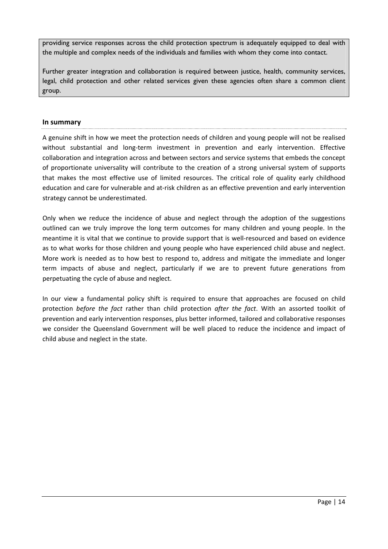providing service responses across the child protection spectrum is adequately equipped to deal with the multiple and complex needs of the individuals and families with whom they come into contact.

Further greater integration and collaboration is required between justice, health, community services, legal, child protection and other related services given these agencies often share a common client group.

## **In summary**

A genuine shift in how we meet the protection needs of children and young people will not be realised without substantial and long-term investment in prevention and early intervention. Effective collaboration and integration across and between sectors and service systems that embeds the concept of proportionate universality will contribute to the creation of a strong universal system of supports that makes the most effective use of limited resources. The critical role of quality early childhood education and care for vulnerable and at‐risk children as an effective prevention and early intervention strategy cannot be underestimated.

Only when we reduce the incidence of abuse and neglect through the adoption of the suggestions outlined can we truly improve the long term outcomes for many children and young people. In the meantime it is vital that we continue to provide support that is well-resourced and based on evidence as to what works for those children and young people who have experienced child abuse and neglect. More work is needed as to how best to respond to, address and mitigate the immediate and longer term impacts of abuse and neglect, particularly if we are to prevent future generations from perpetuating the cycle of abuse and neglect.

In our view a fundamental policy shift is required to ensure that approaches are focused on child protection *before the fact* rather than child protection *after the fact*. With an assorted toolkit of prevention and early intervention responses, plus better informed, tailored and collaborative responses we consider the Queensland Government will be well placed to reduce the incidence and impact of child abuse and neglect in the state.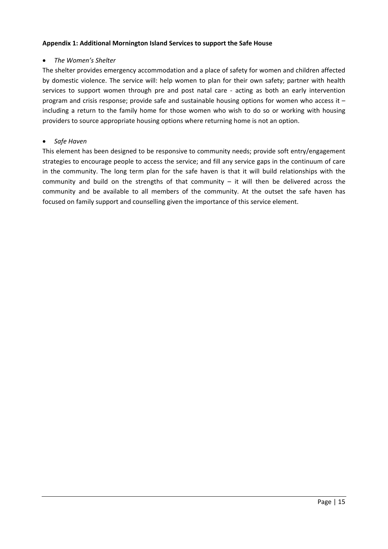### **Appendix 1: Additional Mornington Island Services to support the Safe House**

### *The Women's Shelter*

The shelter provides emergency accommodation and a place of safety for women and children affected by domestic violence. The service will: help women to plan for their own safety; partner with health services to support women through pre and post natal care - acting as both an early intervention program and crisis response; provide safe and sustainable housing options for women who access it – including a return to the family home for those women who wish to do so or working with housing providers to source appropriate housing options where returning home is not an option.

### *Safe Haven*

This element has been designed to be responsive to community needs; provide soft entry/engagement strategies to encourage people to access the service; and fill any service gaps in the continuum of care in the community. The long term plan for the safe haven is that it will build relationships with the community and build on the strengths of that community – it will then be delivered across the community and be available to all members of the community. At the outset the safe haven has focused on family support and counselling given the importance of this service element.